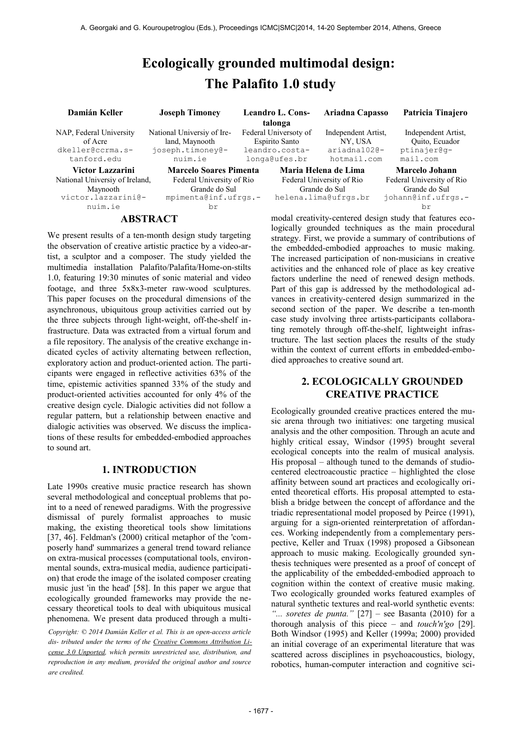# **Ecologically grounded multimodal design: The Palafito 1.0 study**

| Damián Keller                                                         | <b>Joseph Timoney</b>                                                       |  | <b>Leandro L. Cons-</b><br>talonga                                         | Ariadna Capasso                                                    | Patricia Tinajero                                                   |
|-----------------------------------------------------------------------|-----------------------------------------------------------------------------|--|----------------------------------------------------------------------------|--------------------------------------------------------------------|---------------------------------------------------------------------|
| NAP, Federal University<br>of Acre<br>dkeller@ccrma.s-<br>tanford.edu | National Universiy of Ire-<br>land, Maynooth<br>joseph.timoney@-<br>nuim.ie |  | Federal Universoty of<br>Espirito Santo<br>leandro.costa-<br>longa@ufes.br | Independent Artist.<br>NY, USA<br>ariadna1020-<br>hotmail.com      | Independent Artist,<br>Quito, Ecuador<br>ptinajer@q-<br>mail.com    |
| Victor Lazzarini<br>National Universiy of Ireland,<br>Maynooth        | <b>Marcelo Soares Pimenta</b><br>Federal University of Rio<br>Grande do Sul |  |                                                                            | Maria Helena de Lima<br>Federal University of Rio<br>Grande do Sul | <b>Marcelo Johann</b><br>Federal University of Rio<br>Grande do Sul |
| victor.lazzarini@-<br>nuim.ie                                         | mpimenta@inf.ufrgs.-<br>br                                                  |  |                                                                            | helena.lima@ufrgs.br                                               | johann@inf.ufrgs.-<br>br                                            |
| ABSTRACT                                                              |                                                                             |  | modal creativity-centered design study that features eco-                  |                                                                    |                                                                     |

We present results of a ten-month design study targeting the observation of creative artistic practice by a video-artist, a sculptor and a composer. The study yielded the multimedia installation Palafito/Palafita/Home-on-stilts 1.0, featuring 19:30 minutes of sonic material and video footage, and three 5x8x3-meter raw-wood sculptures. This paper focuses on the procedural dimensions of the asynchronous, ubiquitous group activities carried out by the three subjects through light-weight, off-the-shelf infrastructure. Data was extracted from a virtual forum and a file repository. The analysis of the creative exchange indicated cycles of activity alternating between reflection, exploratory action and product-oriented action. The participants were engaged in reflective activities 63% of the time, epistemic activities spanned 33% of the study and product-oriented activities accounted for only 4% of the creative design cycle. Dialogic activities did not follow a regular pattern, but a relationship between enactive and dialogic activities was observed. We discuss the implications of these results for embedded-embodied approaches to sound art.

# **1. INTRODUCTION**

Late 1990s creative music practice research has shown several methodological and conceptual problems that point to a need of renewed paradigms. With the progressive dismissal of purely formalist approaches to music making, the existing theoretical tools show limitations [37, 46]. Feldman's (2000) critical metaphor of the 'composerly hand' summarizes a general trend toward reliance on extra-musical processes (computational tools, environmental sounds, extra-musical media, audience participation) that erode the image of the isolated composer creating music just 'in the head' [58]. In this paper we argue that ecologically grounded frameworks may provide the necessary theoretical tools to deal with ubiquitous musical phenomena. We present data produced through a multi-

*Copyright: © 2014 Damián Keller et al. This is an open-access article dis- tributed under the terms of the [Creative Commons Attribution Li](http://creativecommons.org/licenses/by/3.0/)[cense 3.0 Unported,](http://creativecommons.org/licenses/by/3.0/) which permits unrestricted use, distribution, and reproduction in any medium, provided the original author and source are credited.*

logically grounded techniques as the main procedural strategy. First, we provide a summary of contributions of the embedded-embodied approaches to music making. The increased participation of non-musicians in creative activities and the enhanced role of place as key creative factors underline the need of renewed design methods. Part of this gap is addressed by the methodological advances in creativity-centered design summarized in the second section of the paper. We describe a ten-month case study involving three artists-participants collaborating remotely through off-the-shelf, lightweight infrastructure. The last section places the results of the study within the context of current efforts in embedded-embodied approaches to creative sound art.

# **2. ECOLOGICALLY GROUNDED CREATIVE PRACTICE**

Ecologically grounded creative practices entered the music arena through two initiatives: one targeting musical analysis and the other composition. Through an acute and highly critical essay, Windsor (1995) brought several ecological concepts into the realm of musical analysis. His proposal – although tuned to the demands of studiocentered electroacoustic practice – highlighted the close affinity between sound art practices and ecologically oriented theoretical efforts. His proposal attempted to establish a bridge between the concept of affordance and the triadic representational model proposed by Peirce (1991), arguing for a sign-oriented reinterpretation of affordances. Working independently from a complementary perspective, Keller and Truax (1998) proposed a Gibsonean approach to music making. Ecologically grounded synthesis techniques were presented as a proof of concept of the applicability of the embedded-embodied approach to cognition within the context of creative music making. Two ecologically grounded works featured examples of natural synthetic textures and real-world synthetic events: *"... soretes de punta."* [27] – see Basanta (2010) for a thorough analysis of this piece – and *touch'n'go* [29]. Both Windsor (1995) and Keller (1999a; 2000) provided an initial coverage of an experimental literature that was scattered across disciplines in psychoacoustics, biology, robotics, human-computer interaction and cognitive sci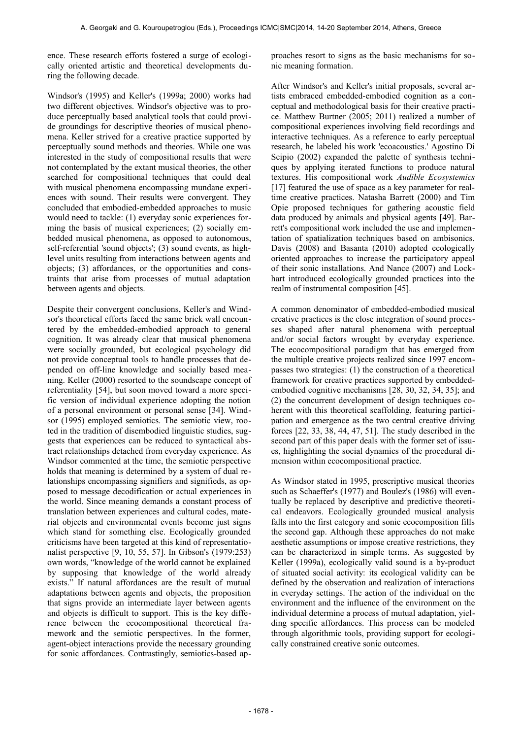ence. These research efforts fostered a surge of ecologically oriented artistic and theoretical developments during the following decade.

Windsor's (1995) and Keller's (1999a; 2000) works had two different objectives. Windsor's objective was to produce perceptually based analytical tools that could provide groundings for descriptive theories of musical phenomena. Keller strived for a creative practice supported by perceptually sound methods and theories. While one was interested in the study of compositional results that were not contemplated by the extant musical theories, the other searched for compositional techniques that could deal with musical phenomena encompassing mundane experiences with sound. Their results were convergent. They concluded that embodied-embedded approaches to music would need to tackle: (1) everyday sonic experiences forming the basis of musical experiences; (2) socially embedded musical phenomena, as opposed to autonomous, self-referential 'sound objects'; (3) sound events, as highlevel units resulting from interactions between agents and objects; (3) affordances, or the opportunities and constraints that arise from processes of mutual adaptation between agents and objects.

Despite their convergent conclusions, Keller's and Windsor's theoretical efforts faced the same brick wall encountered by the embedded-embodied approach to general cognition. It was already clear that musical phenomena were socially grounded, but ecological psychology did not provide conceptual tools to handle processes that depended on off-line knowledge and socially based meaning. Keller (2000) resorted to the soundscape concept of referentiality [54], but soon moved toward a more specific version of individual experience adopting the notion of a personal environment or personal sense [34]. Windsor (1995) employed semiotics. The semiotic view, rooted in the tradition of disembodied linguistic studies, suggests that experiences can be reduced to syntactical abstract relationships detached from everyday experience. As Windsor commented at the time, the semiotic perspective holds that meaning is determined by a system of dual relationships encompassing signifiers and signifieds, as opposed to message decodification or actual experiences in the world. Since meaning demands a constant process of translation between experiences and cultural codes, material objects and environmental events become just signs which stand for something else. Ecologically grounded criticisms have been targeted at this kind of representationalist perspective [9, 10, 55, 57]. In Gibson's (1979:253) own words, "knowledge of the world cannot be explained by supposing that knowledge of the world already exists." If natural affordances are the result of mutual adaptations between agents and objects, the proposition that signs provide an intermediate layer between agents and objects is difficult to support. This is the key difference between the ecocompositional theoretical framework and the semiotic perspectives. In the former, agent-object interactions provide the necessary grounding for sonic affordances. Contrastingly, semiotics-based approaches resort to signs as the basic mechanisms for sonic meaning formation.

After Windsor's and Keller's initial proposals, several artists embraced embedded-embodied cognition as a conceptual and methodological basis for their creative practice. Matthew Burtner (2005; 2011) realized a number of compositional experiences involving field recordings and interactive techniques. As a reference to early perceptual research, he labeled his work 'ecoacoustics.' Agostino Di Scipio (2002) expanded the palette of synthesis techniques by applying iterated functions to produce natural textures. His compositional work *Audible Ecosystemics* [17] featured the use of space as a key parameter for realtime creative practices. Natasha Barrett (2000) and Tim Opie proposed techniques for gathering acoustic field data produced by animals and physical agents [49]. Barrett's compositional work included the use and implementation of spatialization techniques based on ambisonics. Davis (2008) and Basanta (2010) adopted ecologically oriented approaches to increase the participatory appeal of their sonic installations. And Nance (2007) and Lockhart introduced ecologically grounded practices into the realm of instrumental composition [45].

A common denominator of embedded-embodied musical creative practices is the close integration of sound processes shaped after natural phenomena with perceptual and/or social factors wrought by everyday experience. The ecocompositional paradigm that has emerged from the multiple creative projects realized since 1997 encompasses two strategies: (1) the construction of a theoretical framework for creative practices supported by embeddedembodied cognitive mechanisms [28, 30, 32, 34, 35]; and (2) the concurrent development of design techniques coherent with this theoretical scaffolding, featuring participation and emergence as the two central creative driving forces [22, 33, 38, 44, 47, 51]. The study described in the second part of this paper deals with the former set of issues, highlighting the social dynamics of the procedural dimension within ecocompositional practice.

As Windsor stated in 1995, prescriptive musical theories such as Schaeffer's (1977) and Boulez's (1986) will eventually be replaced by descriptive and predictive theoretical endeavors. Ecologically grounded musical analysis falls into the first category and sonic ecocomposition fills the second gap. Although these approaches do not make aesthetic assumptions or impose creative restrictions, they can be characterized in simple terms. As suggested by Keller (1999a), ecologically valid sound is a by-product of situated social activity: its ecological validity can be defined by the observation and realization of interactions in everyday settings. The action of the individual on the environment and the influence of the environment on the individual determine a process of mutual adaptation, yielding specific affordances. This process can be modeled through algorithmic tools, providing support for ecologically constrained creative sonic outcomes.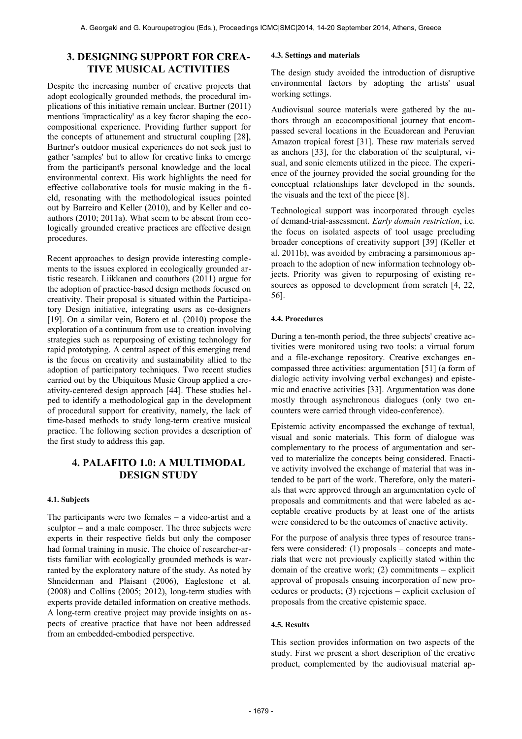# **3. DESIGNING SUPPORT FOR CREA-TIVE MUSICAL ACTIVITIES**

Despite the increasing number of creative projects that adopt ecologically grounded methods, the procedural implications of this initiative remain unclear. Burtner (2011) mentions 'impracticality' as a key factor shaping the ecocompositional experience. Providing further support for the concepts of attunement and structural coupling [28], Burtner's outdoor musical experiences do not seek just to gather 'samples' but to allow for creative links to emerge from the participant's personal knowledge and the local environmental context. His work highlights the need for effective collaborative tools for music making in the field, resonating with the methodological issues pointed out by Barreiro and Keller (2010), and by Keller and coauthors (2010; 2011a). What seem to be absent from ecologically grounded creative practices are effective design procedures.

Recent approaches to design provide interesting complements to the issues explored in ecologically grounded artistic research. Liikkanen and coauthors (2011) argue for the adoption of practice-based design methods focused on creativity. Their proposal is situated within the Participatory Design initiative, integrating users as co-designers [19]. On a similar vein, Botero et al. (2010) propose the exploration of a continuum from use to creation involving strategies such as repurposing of existing technology for rapid prototyping. A central aspect of this emerging trend is the focus on creativity and sustainability allied to the adoption of participatory techniques. Two recent studies carried out by the Ubiquitous Music Group applied a creativity-centered design approach [44]. These studies helped to identify a methodological gap in the development of procedural support for creativity, namely, the lack of time-based methods to study long-term creative musical practice. The following section provides a description of the first study to address this gap.

# **4. PALAFITO 1.0: A MULTIMODAL DESIGN STUDY**

#### **4.1. Subjects**

The participants were two females – a video-artist and a sculptor – and a male composer. The three subjects were experts in their respective fields but only the composer had formal training in music. The choice of researcher-artists familiar with ecologically grounded methods is warranted by the exploratory nature of the study. As noted by Shneiderman and Plaisant (2006), Eaglestone et al. (2008) and Collins (2005; 2012), long-term studies with experts provide detailed information on creative methods. A long-term creative project may provide insights on aspects of creative practice that have not been addressed from an embedded-embodied perspective.

#### **4.3. Settings and materials**

The design study avoided the introduction of disruptive environmental factors by adopting the artists' usual working settings.

Audiovisual source materials were gathered by the authors through an ecocompositional journey that encompassed several locations in the Ecuadorean and Peruvian Amazon tropical forest [31]. These raw materials served as anchors [33], for the elaboration of the sculptural, visual, and sonic elements utilized in the piece. The experience of the journey provided the social grounding for the conceptual relationships later developed in the sounds, the visuals and the text of the piece [8].

Technological support was incorporated through cycles of demand-trial-assessment. *Early domain restriction*, i.e. the focus on isolated aspects of tool usage precluding broader conceptions of creativity support [39] (Keller et al. 2011b), was avoided by embracing a parsimonious approach to the adoption of new information technology objects. Priority was given to repurposing of existing resources as opposed to development from scratch [4, 22, 56].

## **4.4. Procedures**

During a ten-month period, the three subjects' creative activities were monitored using two tools: a virtual forum and a file-exchange repository. Creative exchanges encompassed three activities: argumentation [51] (a form of dialogic activity involving verbal exchanges) and epistemic and enactive activities [33]. Argumentation was done mostly through asynchronous dialogues (only two encounters were carried through video-conference).

Epistemic activity encompassed the exchange of textual, visual and sonic materials. This form of dialogue was complementary to the process of argumentation and served to materialize the concepts being considered. Enactive activity involved the exchange of material that was intended to be part of the work. Therefore, only the materials that were approved through an argumentation cycle of proposals and commitments and that were labeled as acceptable creative products by at least one of the artists were considered to be the outcomes of enactive activity.

For the purpose of analysis three types of resource transfers were considered: (1) proposals – concepts and materials that were not previously explicitly stated within the domain of the creative work; (2) commitments – explicit approval of proposals ensuing incorporation of new procedures or products; (3) rejections – explicit exclusion of proposals from the creative epistemic space.

#### **4.5. Results**

This section provides information on two aspects of the study. First we present a short description of the creative product, complemented by the audiovisual material ap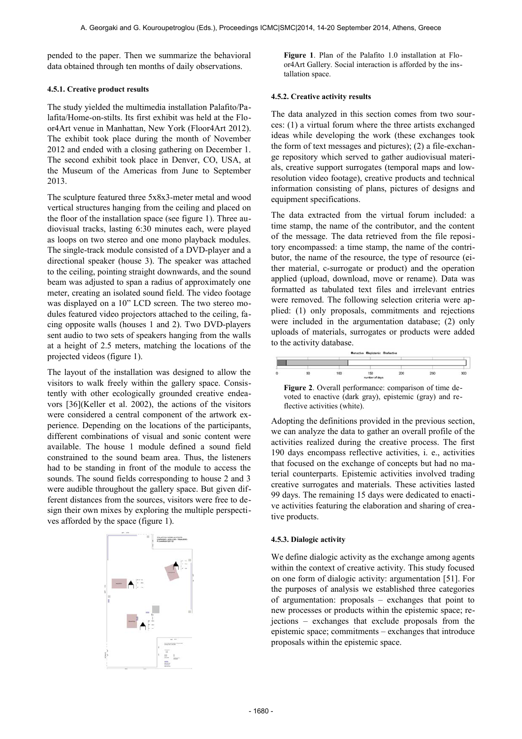pended to the paper. Then we summarize the behavioral data obtained through ten months of daily observations.

#### **4.5.1. Creative product results**

The study yielded the multimedia installation Palafito/Palafita/Home-on-stilts. Its first exhibit was held at the Floor4Art venue in Manhattan, New York (Floor4Art 2012). The exhibit took place during the month of November 2012 and ended with a closing gathering on December 1. The second exhibit took place in Denver, CO, USA, at the Museum of the Americas from June to September 2013.

The sculpture featured three 5x8x3-meter metal and wood vertical structures hanging from the ceiling and placed on the floor of the installation space (see figure 1). Three audiovisual tracks, lasting 6:30 minutes each, were played as loops on two stereo and one mono playback modules. The single-track module consisted of a DVD-player and a directional speaker (house 3). The speaker was attached to the ceiling, pointing straight downwards, and the sound beam was adjusted to span a radius of approximately one meter, creating an isolated sound field. The video footage was displayed on a 10" LCD screen. The two stereo modules featured video projectors attached to the ceiling, facing opposite walls (houses 1 and 2). Two DVD-players sent audio to two sets of speakers hanging from the walls at a height of 2.5 meters, matching the locations of the projected videos (figure 1).

The layout of the installation was designed to allow the visitors to walk freely within the gallery space. Consistently with other ecologically grounded creative endeavors [36](Keller et al. 2002), the actions of the visitors were considered a central component of the artwork experience. Depending on the locations of the participants, different combinations of visual and sonic content were available. The house 1 module defined a sound field constrained to the sound beam area. Thus, the listeners had to be standing in front of the module to access the sounds. The sound fields corresponding to house 2 and 3 were audible throughout the gallery space. But given different distances from the sources, visitors were free to design their own mixes by exploring the multiple perspectives afforded by the space (figure 1).



**Figure 1**. Plan of the Palafito 1.0 installation at Floor4Art Gallery. Social interaction is afforded by the installation space.

#### **4.5.2. Creative activity results**

The data analyzed in this section comes from two sources: (1) a virtual forum where the three artists exchanged ideas while developing the work (these exchanges took the form of text messages and pictures); (2) a file-exchange repository which served to gather audiovisual materials, creative support surrogates (temporal maps and lowresolution video footage), creative products and technical information consisting of plans, pictures of designs and equipment specifications.

The data extracted from the virtual forum included: a time stamp, the name of the contributor, and the content of the message. The data retrieved from the file repository encompassed: a time stamp, the name of the contributor, the name of the resource, the type of resource (either material, c-surrogate or product) and the operation applied (upload, download, move or rename). Data was formatted as tabulated text files and irrelevant entries were removed. The following selection criteria were applied: (1) only proposals, commitments and rejections were included in the argumentation database; (2) only uploads of materials, surrogates or products were added to the activity database.



**Figure 2**. Overall performance: comparison of time devoted to enactive (dark gray), epistemic (gray) and reflective activities (white).

Adopting the definitions provided in the previous section, we can analyze the data to gather an overall profile of the activities realized during the creative process. The first 190 days encompass reflective activities, i. e., activities that focused on the exchange of concepts but had no material counterparts. Epistemic activities involved trading creative surrogates and materials. These activities lasted 99 days. The remaining 15 days were dedicated to enactive activities featuring the elaboration and sharing of creative products.

#### **4.5.3. Dialogic activity**

We define dialogic activity as the exchange among agents within the context of creative activity. This study focused on one form of dialogic activity: argumentation [51]. For the purposes of analysis we established three categories of argumentation: proposals – exchanges that point to new processes or products within the epistemic space; rejections – exchanges that exclude proposals from the epistemic space; commitments – exchanges that introduce proposals within the epistemic space.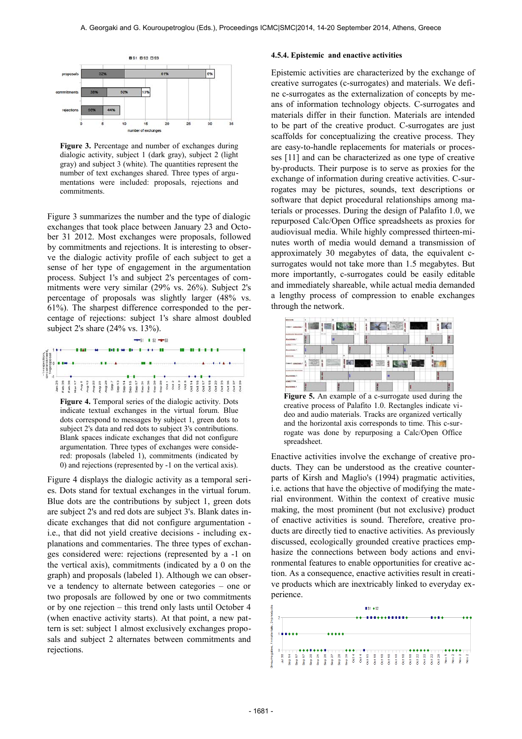

**Figure 3.** Percentage and number of exchanges during dialogic activity, subject 1 (dark gray), subject 2 (light gray) and subject 3 (white). The quantities represent the number of text exchanges shared. Three types of argumentations were included: proposals, rejections and commitments.

Figure 3 summarizes the number and the type of dialogic exchanges that took place between January 23 and October 31 2012. Most exchanges were proposals, followed by commitments and rejections. It is interesting to observe the dialogic activity profile of each subject to get a sense of her type of engagement in the argumentation process. Subject 1's and subject 2's percentages of commitments were very similar (29% vs. 26%). Subject 2's percentage of proposals was slightly larger (48% vs. 61%). The sharpest difference corresponded to the percentage of rejections: subject 1's share almost doubled subject 2's share (24% vs. 13%).



**Figure 4.** Temporal series of the dialogic activity. Dots indicate textual exchanges in the virtual forum. Blue dots correspond to messages by subject 1, green dots to subject 2's data and red dots to subject 3's contributions. Blank spaces indicate exchanges that did not configure argumentation. Three types of exchanges were considered: proposals (labeled 1), commitments (indicated by 0) and rejections (represented by -1 on the vertical axis).

Figure 4 displays the dialogic activity as a temporal series. Dots stand for textual exchanges in the virtual forum. Blue dots are the contributions by subject 1, green dots are subject 2's and red dots are subject 3's. Blank dates indicate exchanges that did not configure argumentation i.e., that did not yield creative decisions - including explanations and commentaries. The three types of exchanges considered were: rejections (represented by a -1 on the vertical axis), commitments (indicated by a 0 on the graph) and proposals (labeled 1). Although we can observe a tendency to alternate between categories – one or two proposals are followed by one or two commitments or by one rejection – this trend only lasts until October 4 (when enactive activity starts). At that point, a new pattern is set: subject 1 almost exclusively exchanges proposals and subject 2 alternates between commitments and rejections.

#### **4.5.4. Epistemic and enactive activities**

Epistemic activities are characterized by the exchange of creative surrogates (c-surrogates) and materials. We define c-surrogates as the externalization of concepts by means of information technology objects. C-surrogates and materials differ in their function. Materials are intended to be part of the creative product. C-surrogates are just scaffolds for conceptualizing the creative process. They are easy-to-handle replacements for materials or processes [11] and can be characterized as one type of creative by-products. Their purpose is to serve as proxies for the exchange of information during creative activities. C-surrogates may be pictures, sounds, text descriptions or software that depict procedural relationships among materials or processes. During the design of Palafito 1.0, we repurposed Calc/Open Office spreadsheets as proxies for audiovisual media. While highly compressed thirteen-minutes worth of media would demand a transmission of approximately 30 megabytes of data, the equivalent csurrogates would not take more than 1.5 megabytes. But more importantly, c-surrogates could be easily editable and immediately shareable, while actual media demanded a lengthy process of compression to enable exchanges through the network.



**Figure 5.** An example of a c-surrogate used during the creative process of Palafito 1.0. Rectangles indicate video and audio materials. Tracks are organized vertically and the horizontal axis corresponds to time. This c-surrogate was done by repurposing a Calc/Open Office spreadsheet.

Enactive activities involve the exchange of creative products. They can be understood as the creative counterparts of Kirsh and Maglio's (1994) pragmatic activities, i.e. actions that have the objective of modifying the material environment. Within the context of creative music making, the most prominent (but not exclusive) product of enactive activities is sound. Therefore, creative products are directly tied to enactive activities. As previously discussed, ecologically grounded creative practices emphasize the connections between body actions and environmental features to enable opportunities for creative action. As a consequence, enactive activities result in creative products which are inextricably linked to everyday experience.

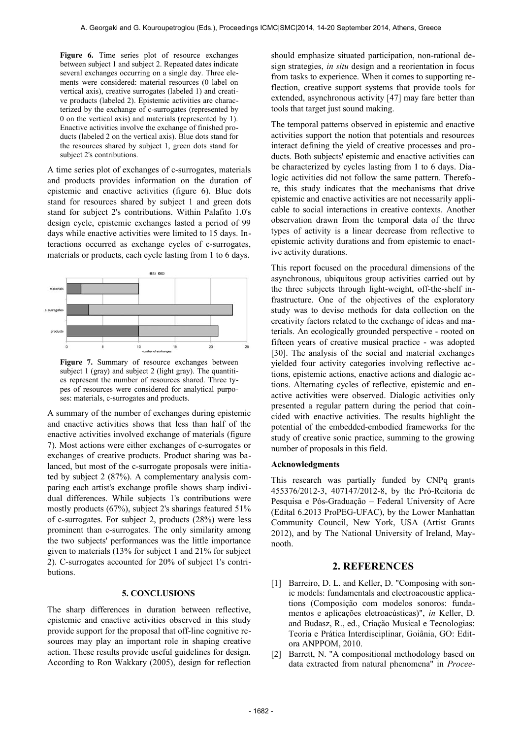Figure 6. Time series plot of resource exchanges between subject 1 and subject 2. Repeated dates indicate several exchanges occurring on a single day. Three elements were considered: material resources (0 label on vertical axis), creative surrogates (labeled 1) and creative products (labeled 2). Epistemic activities are characterized by the exchange of c-surrogates (represented by 0 on the vertical axis) and materials (represented by 1). Enactive activities involve the exchange of finished products (labeled 2 on the vertical axis). Blue dots stand for the resources shared by subject 1, green dots stand for subject 2's contributions.

A time series plot of exchanges of c-surrogates, materials and products provides information on the duration of epistemic and enactive activities (figure 6). Blue dots stand for resources shared by subject 1 and green dots stand for subject 2's contributions. Within Palafito 1.0's design cycle, epistemic exchanges lasted a period of 99 days while enactive activities were limited to 15 days. Interactions occurred as exchange cycles of c-surrogates, materials or products, each cycle lasting from 1 to 6 days.



Figure 7. Summary of resource exchanges between subject 1 (gray) and subject 2 (light gray). The quantities represent the number of resources shared. Three types of resources were considered for analytical purposes: materials, c-surrogates and products.

A summary of the number of exchanges during epistemic and enactive activities shows that less than half of the enactive activities involved exchange of materials (figure 7). Most actions were either exchanges of c-surrogates or exchanges of creative products. Product sharing was balanced, but most of the c-surrogate proposals were initiated by subject 2 (87%). A complementary analysis comparing each artist's exchange profile shows sharp individual differences. While subjects 1's contributions were mostly products (67%), subject 2's sharings featured 51% of c-surrogates. For subject 2, products (28%) were less prominent than c-surrogates. The only similarity among the two subjects' performances was the little importance given to materials (13% for subject 1 and 21% for subject 2). C-surrogates accounted for 20% of subject 1's contributions.

## **5. CONCLUSIONS**

The sharp differences in duration between reflective, epistemic and enactive activities observed in this study provide support for the proposal that off-line cognitive resources may play an important role in shaping creative action. These results provide useful guidelines for design. According to Ron Wakkary (2005), design for reflection should emphasize situated participation, non-rational design strategies, *in situ* design and a reorientation in focus from tasks to experience. When it comes to supporting reflection, creative support systems that provide tools for extended, asynchronous activity [47] may fare better than tools that target just sound making.

The temporal patterns observed in epistemic and enactive activities support the notion that potentials and resources interact defining the yield of creative processes and products. Both subjects' epistemic and enactive activities can be characterized by cycles lasting from 1 to 6 days. Dialogic activities did not follow the same pattern. Therefore, this study indicates that the mechanisms that drive epistemic and enactive activities are not necessarily applicable to social interactions in creative contexts. Another observation drawn from the temporal data of the three types of activity is a linear decrease from reflective to epistemic activity durations and from epistemic to enactive activity durations.

This report focused on the procedural dimensions of the asynchronous, ubiquitous group activities carried out by the three subjects through light-weight, off-the-shelf infrastructure. One of the objectives of the exploratory study was to devise methods for data collection on the creativity factors related to the exchange of ideas and materials. An ecologically grounded perspective - rooted on fifteen years of creative musical practice - was adopted [30]. The analysis of the social and material exchanges yielded four activity categories involving reflective actions, epistemic actions, enactive actions and dialogic actions. Alternating cycles of reflective, epistemic and enactive activities were observed. Dialogic activities only presented a regular pattern during the period that coincided with enactive activities. The results highlight the potential of the embedded-embodied frameworks for the study of creative sonic practice, summing to the growing number of proposals in this field.

#### **Acknowledgments**

This research was partially funded by CNPq grants 455376/2012-3, 407147/2012-8, by the Pró-Reitoria de Pesquisa e Pós-Graduação – Federal University of Acre (Edital 6.2013 ProPEG-UFAC), by the Lower Manhattan Community Council, New York, USA (Artist Grants 2012), and by The National University of Ireland, Maynooth.

## **2. REFERENCES**

- [1] Barreiro, D. L. and Keller, D. "Composing with sonic models: fundamentals and electroacoustic applications (Composição com modelos sonoros: fundamentos e aplicações eletroacústicas)", *in* Keller, D. and Budasz, R., ed., Criação Musical e Tecnologias: Teoria e Prática Interdisciplinar, Goiânia, GO: Editora ANPPOM, 2010.
- [2] Barrett, N. "A compositional methodology based on data extracted from natural phenomena" in *Procee-*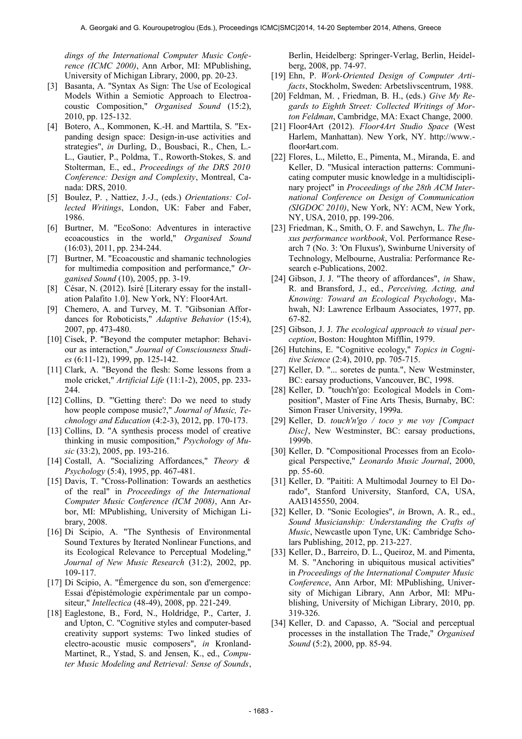*dings of the International Computer Music Conference (ICMC 2000)*, Ann Arbor, MI: MPublishing, University of Michigan Library, 2000, pp. 20-23.

- [3] Basanta, A. "Syntax As Sign: The Use of Ecological Models Within a Semiotic Approach to Electroacoustic Composition," *Organised Sound* (15:2), 2010, pp. 125-132.
- [4] Botero, A., Kommonen, K.-H. and Marttila, S. "Expanding design space: Design-in-use activities and strategies", *in* Durling, D., Bousbaci, R., Chen, L.- L., Gautier, P., Poldma, T., Roworth-Stokes, S. and Stolterman, E., ed., *Proceedings of the DRS 2010 Conference: Design and Complexity*, Montreal, Canada: DRS, 2010.
- [5] Boulez, P. , Nattiez, J.-J., (eds.) *Orientations: Collected Writings*, London, UK: Faber and Faber, 1986.
- [6] Burtner, M. "EcoSono: Adventures in interactive ecoacoustics in the world," *Organised Sound* (16:03), 2011, pp. 234-244.
- [7] Burtner, M. "Ecoacoustic and shamanic technologies for multimedia composition and performance," *Organised Sound* (10), 2005, pp. 3-19.
- [8] César, N. (2012). Isiré [Literary essay for the installation Palafito 1.0]. New York, NY: Floor4Art.
- [9] Chemero, A. and Turvey, M. T. "Gibsonian Affordances for Roboticists," *Adaptive Behavior* (15:4), 2007, pp. 473-480.
- [10] Cisek, P. "Beyond the computer metaphor: Behaviour as interaction," *Journal of Consciousness Studies* (6:11-12), 1999, pp. 125-142.
- [11] Clark, A. "Beyond the flesh: Some lessons from a mole cricket," *Artificial Life* (11:1-2), 2005, pp. 233- 244.
- [12] Collins, D. "'Getting there': Do we need to study how people compose music?," *Journal of Music, Technology and Education* (4:2-3), 2012, pp. 170-173.
- [13] Collins, D. "A synthesis process model of creative thinking in music composition," *Psychology of Music* (33:2), 2005, pp. 193-216.
- [14] Costall, A. "Socializing Affordances," *Theory & Psychology* (5:4), 1995, pp. 467-481.
- [15] Davis, T. "Cross-Pollination: Towards an aesthetics of the real" in *Proceedings of the International Computer Music Conference (ICM 2008)*, Ann Arbor, MI: MPublishing, University of Michigan Library, 2008.
- [16] Di Scipio, A. "The Synthesis of Environmental Sound Textures by Iterated Nonlinear Functions, and its Ecological Relevance to Perceptual Modeling," *Journal of New Music Research* (31:2), 2002, pp. 109-117.
- [17] Di Scipio, A. "Émergence du son, son d'emergence: Essai d'épistémologie expérimentale par un compositeur," *Intellectica* (48-49), 2008, pp. 221-249.
- [18] Eaglestone, B., Ford, N., Holdridge, P., Carter, J. and Upton, C. "Cognitive styles and computer-based creativity support systems: Two linked studies of electro-acoustic music composers", *in* Kronland-Martinet, R., Ystad, S. and Jensen, K., ed., *Computer Music Modeling and Retrieval: Sense of Sounds*,

Berlin, Heidelberg: Springer-Verlag, Berlin, Heidelberg, 2008, pp. 74-97.

- [19] Ehn, P. *Work-Oriented Design of Computer Artifacts*, Stockholm, Sweden: Arbetslivscentrum, 1988.
- [20] Feldman, M. , Friedman, B. H., (eds.) *Give My Regards to Eighth Street: Collected Writings of Morton Feldman*, Cambridge, MA: Exact Change, 2000.
- [21] Floor4Art (2012). *Floor4Art Studio Space* (West Harlem, Manhattan). New York, NY. http://www. floor4art.com.
- [22] Flores, L., Miletto, E., Pimenta, M., Miranda, E. and Keller, D. "Musical interaction patterns: Communicating computer music knowledge in a multidisciplinary project" in *Proceedings of the 28th ACM International Conference on Design of Communication (SIGDOC 2010)*, New York, NY: ACM, New York, NY, USA, 2010, pp. 199-206.
- [23] Friedman, K., Smith, O. F. and Sawchyn, L. *The fluxus performance workbook*, Vol. Performance Research 7 (No. 3: 'On Fluxus'), Swinburne University of Technology, Melbourne, Australia: Performance Research e-Publications, 2002.
- [24] Gibson, J. J. "The theory of affordances", *in* Shaw, R. and Bransford, J., ed., *Perceiving, Acting, and Knowing: Toward an Ecological Psychology*, Mahwah, NJ: Lawrence Erlbaum Associates, 1977, pp. 67-82.
- [25] Gibson, J. J. *The ecological approach to visual perception*, Boston: Houghton Mifflin, 1979.
- [26] Hutchins, E. "Cognitive ecology," *Topics in Cognitive Science* (2:4), 2010, pp. 705-715.
- [27] Keller, D. "... soretes de punta.", New Westminster, BC: earsay productions, Vancouver, BC, 1998.
- [28] Keller, D. "touch'n'go: Ecological Models in Composition", Master of Fine Arts Thesis, Burnaby, BC: Simon Fraser University, 1999a.
- [29] Keller, D. *touch'n'go / toco y me voy [Compact Disc]*, New Westminster, BC: earsay productions, 1999b.
- [30] Keller, D. "Compositional Processes from an Ecological Perspective," *Leonardo Music Journal*, 2000, pp. 55-60.
- [31] Keller, D. "Paititi: A Multimodal Journey to El Dorado", Stanford University, Stanford, CA, USA, AAI3145550, 2004.
- [32] Keller, D. "Sonic Ecologies", *in* Brown, A. R., ed., *Sound Musicianship: Understanding the Crafts of Music*, Newcastle upon Tyne, UK: Cambridge Scholars Publishing, 2012, pp. 213-227.
- [33] Keller, D., Barreiro, D. L., Queiroz, M. and Pimenta, M. S. "Anchoring in ubiquitous musical activities" in *Proceedings of the International Computer Music Conference*, Ann Arbor, MI: MPublishing, University of Michigan Library, Ann Arbor, MI: MPublishing, University of Michigan Library, 2010, pp. 319-326.
- [34] Keller, D. and Capasso, A. "Social and perceptual processes in the installation The Trade," *Organised Sound* (5:2), 2000, pp. 85-94.